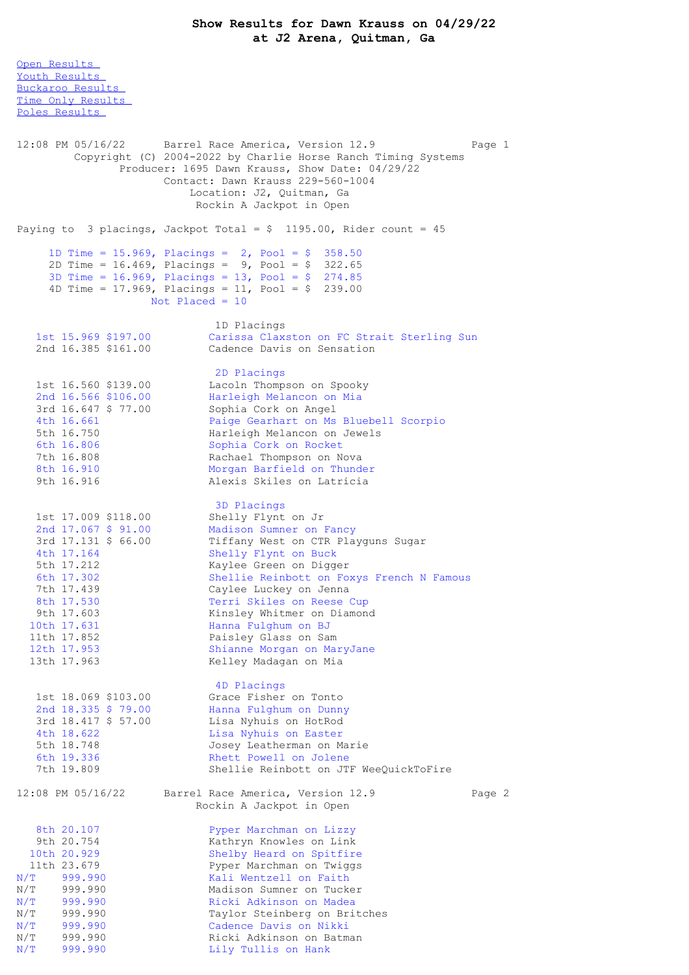Open [Results](file:///C:/Users/flori/Downloads/Show_Results_Dawn_Krauss_04_29_22%20(1).html#Open)

Youth [Results](file:///C:/Users/flori/Downloads/Show_Results_Dawn_Krauss_04_29_22%20(1).html#Youth) [Buckaroo](file:///C:/Users/flori/Downloads/Show_Results_Dawn_Krauss_04_29_22%20(1).html#Buckaroo) Results Time Only [Results](file:///C:/Users/flori/Downloads/Show_Results_Dawn_Krauss_04_29_22%20(1).html#Time%20Only) Poles [Results](file:///C:/Users/flori/Downloads/Show_Results_Dawn_Krauss_04_29_22%20(1).html#Poles) 12:08 PM 05/16/22 Barrel Race America, Version 12.9 Page 1 Copyright (C) 2004-2022 by Charlie Horse Ranch Timing Systems Producer: 1695 Dawn Krauss, Show Date: 04/29/22 Contact: Dawn Krauss 229-560-1004 Location: J2, Quitman, Ga Rockin A Jackpot in Open Paying to 3 placings, Jackpot Total =  $$ 1195.00$ , Rider count = 45 1D Time = 15.969, Placings = 2, Pool = \$ 358.50 2D Time = 16.469, Placings = 9, Pool = \$ 322.65 3D Time = 16.969, Placings = 13, Pool = \$ 274.85 4D Time = 17.969, Placings = 11, Pool = \$ 239.00 Not Placed = 10 1D Placings 1st 15.969 \$197.00 Carissa Claxston on FC Strait Sterling Sun 2nd 16.385 \$161.00 Cadence Davis on Sensation 2D Placings 1st 16.560 \$139.00 Lacoln Thompson on Spooky 2nd 16.566 \$106.00 Harleigh Melancon on Mia 3rd 16.647 \$ 77.00 Sophia Cork on Angel 4th 16.661 Paige Gearhart on Ms Bluebell Scorpio 5th 16.750 Harleigh Melancon on Jewels 6th 16.806 Sophia Cork on Rocket 7th 16.808 Rachael Thompson on Nova 8th 16.910 Morgan Barfield on Thunder 9th 16.916 Alexis Skiles on Latricia 3D Placings 1st 17.009 \$118.00 Shelly Flynt on Jr 2nd 17.067 \$ 91.00 Madison Sumner on Fancy 3rd 17.131 \$ 66.00 Tiffany West on CTR Playguns Sugar 4th 17.164 Shelly Flynt on Buck 5th 17.212 Kaylee Green on Digger 6th 17.302 Shellie Reinbott on Foxys French N Famous 7th 17.439 Caylee Luckey on Jenna 8th 17.530 Terri Skiles on Reese Cup 9th 17.603 Kinsley Whitmer on Diamond 10th 17.631 Hanna Fulghum on BJ 11th 17.852 Paisley Glass on Sam 12th 17.953 Shianne Morgan on MaryJane 13th 17.963 Kelley Madagan on Mia 4D Placings 1st 18.069 \$103.00 Grace Fisher on Tonto 2nd 18.335 \$ 79.00 Hanna Fulghum on Dunny 3rd 18.417 \$ 57.00 Lisa Nyhuis on HotRod 4th 18.622 Lisa Nyhuis on Easter 5th 18.748 Josey Leatherman on Marie<br>6th 19.336 Rhett Powell on Jolene 6th 19.336 Rhett Powell on Jolene<br>7th 19.809 Shellie Reinbott on JT Shellie Reinbott on JTF WeeQuickToFire 12:08 PM 05/16/22 Barrel Race America, Version 12.9 Page 2 Rockin A Jackpot in Open 8th 20.107 Pyper Marchman on Lizzy 9th 20.754 Kathryn Knowles on Link 10th 20.929 Shelby Heard on Spitfire 11th 23.679 Pyper Marchman on Twiggs N/T 999.990 Kali Wentzell on Faith N/T 999.990 Madison Sumner on Tucker N/T 999.990 Ricki Adkinson on Madea N/T 999.990 Taylor Steinberg on Britches N/T 999.990 Cadence Davis on Nikki N/T 999.990 Ricki Adkinson on Batman N/T 999.990 Lily Tullis on Hank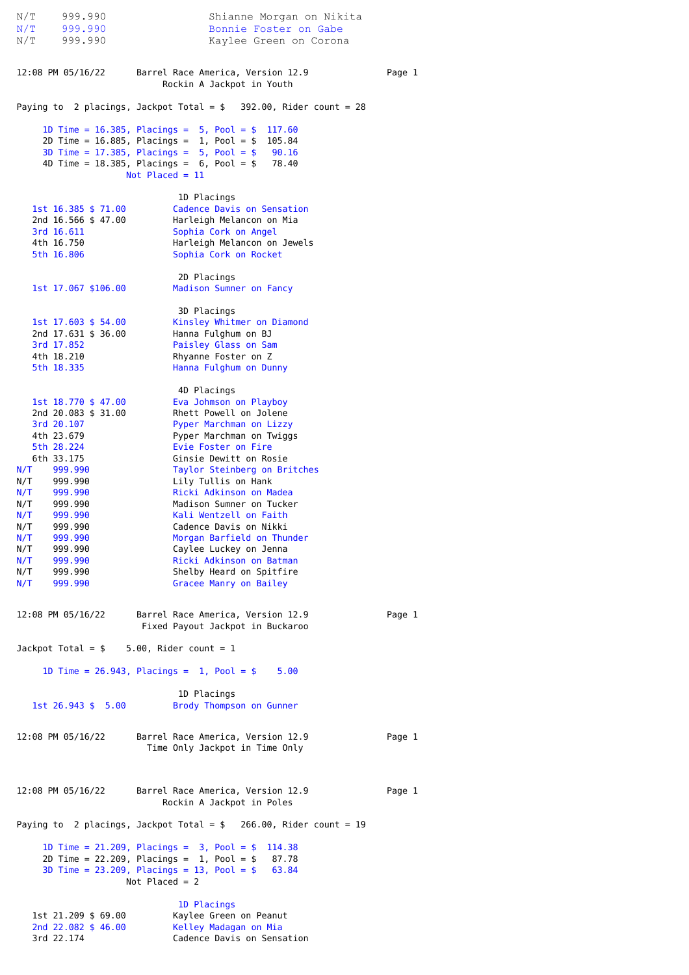N/T 999.990 Shianne Morgan on Nikita N/T 999.990 Bonnie Foster on Gabe<br>N/T 999.990 Kaylee Green on Coron N/T 999.990 Kaylee Green on Corona 12:08 PM 05/16/22 Barrel Race America, Version 12.9 Page 1 Rockin A Jackpot in Youth Paying to 2 placings, Jackpot Total =  $$392.00$ , Rider count = 28 1D Time = 16.385, Placings = 5, Pool = \$ 117.60 2D Time = 16.885, Placings = 1, Pool = \$ 105.84 3D Time = 17.385, Placings = 5, Pool = \$ 90.16 4D Time = 18.385, Placings = 6, Pool = \$ 78.40 Not Placed = 11 1D Placings 1st 16.385 \$ 71.00 Cadence Davis on Sensation<br>2nd 16.566 \$ 47.00 Harleigh Melancon on Mia Harleigh Melancon on Mia 3rd 16.611 Sophia Cork on Angel 4th 16.750 Harleigh Melancon on Jewels 5th 16.806 Sophia Cork on Rocket 2D Placings 1st 17.067 \$106.00 Madison Sumner on Fancy 3D Placings 1st 17.603 \$ 54.00 Kinsley Whitmer on Diamond<br>2nd 17.631 \$ 36.00 Hanna Fulghum on BJ Hanna Fulghum on BJ 3rd 17.852 Paisley Glass on Sam<br>4th 18.210 Rhyanne Foster on Z 4th 18.210<br>
5th 18.335<br>
Hanna Fulghum on Dur Hanna Fulghum on Dunny 4D Placings 1st 18.770 \$ 47.00 Eva Johmson on Playboy 2nd 20.083 \$ 31.00 Rhett Powell on Jolene 3rd 20.107 Pyper Marchman on Lizzy 4th 23.679 Pyper Marchman on Twiggs 5th 28.224 Evie Foster on Fire 6th 33.175 Ginsie Dewitt on Rosie N/T 999.990 Taylor Steinberg on Britches N/T 999.990 Lily Tullis on Hank<br>N/T 999.990 Ricki Adkinson on Ma N/T 999.990 Ricki Adkinson on Madea<br>N/T 999.990 Madison Sumner on Tucke 999.990 Madison Sumner on Tucker<br>999.990 Mali Wentzell on Faith N/T 999.990 Kali Wentzell on Faith<br>N/T 999.990 Cadence Davis on Nikki and 1999.990 (adence Davis on Nikki)<br>1999.990 Morgan Barfield on Thu N/T 999.990 Morgan Barfield on Thunder N/T 999.990 Caylee Luckey on Jenna N/T 999.990 Ricki Adkinson on Batman N/T 999.990 Shelby Heard on Spitfire N/T 999.990 Gracee Manry on Bailey 12:08 PM 05/16/22 Barrel Race America, Version 12.9 Page 1 Fixed Payout Jackpot in Buckaroo Jackpot Total =  $$ 5.00$ , Rider count = 1 1D Time = 26.943, Placings = 1, Pool = \$ 5.00 1D Placings 1st 26.943 \$ 5.00 Brody Thompson on Gunner 12:08 PM 05/16/22 Barrel Race America, Version 12.9 Page 1 Time Only Jackpot in Time Only 12:08 PM 05/16/22 Barrel Race America, Version 12.9 Page 1 Rockin A Jackpot in Poles Paying to 2 placings, Jackpot Total =  $$266.00$ , Rider count = 19 1D Time = 21.209, Placings = 3, Pool = \$ 114.38 2D Time = 22.209, Placings =  $1$ , Pool = \$ 87.78 3D Time = 23.209, Placings = 13, Pool = \$ 63.84  $Not$  Placed = 2 1D Placings 1st 21.209 \$ 69.00 Kaylee Green on Peanut 2nd 22.082 \$ 46.00 Kelley Madagan on Mia 3rd 22.174 Cadence Davis on Sensation